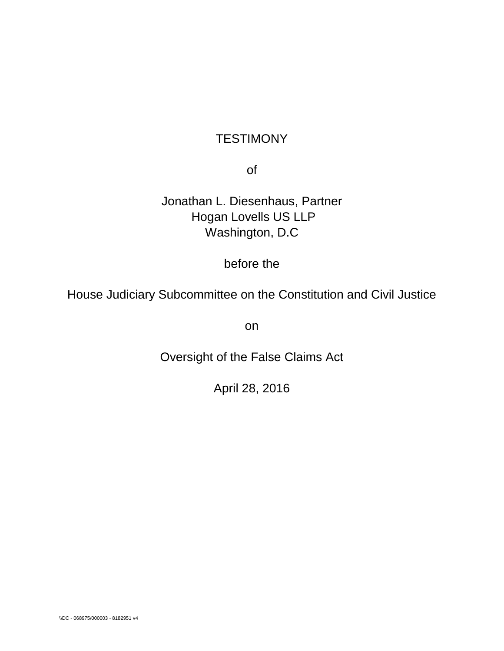# **TESTIMONY**

of

Jonathan L. Diesenhaus, Partner Hogan Lovells US LLP Washington, D.C

before the

House Judiciary Subcommittee on the Constitution and Civil Justice

on

Oversight of the False Claims Act

April 28, 2016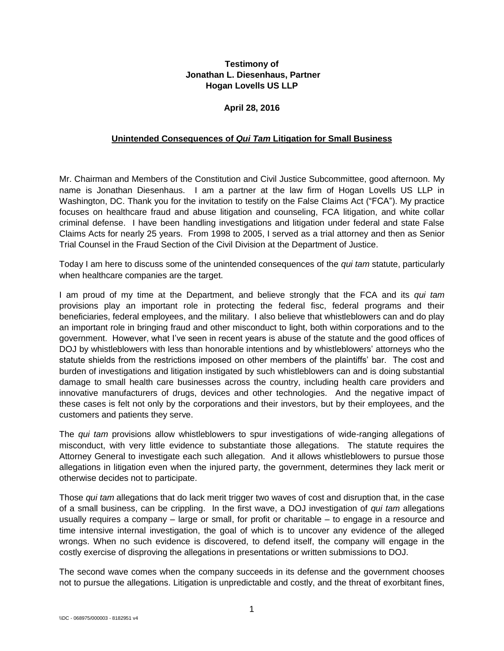# **Testimony of Jonathan L. Diesenhaus, Partner Hogan Lovells US LLP**

## **April 28, 2016**

#### **Unintended Consequences of** *Qui Tam* **Litigation for Small Business**

Mr. Chairman and Members of the Constitution and Civil Justice Subcommittee, good afternoon. My name is Jonathan Diesenhaus. I am a partner at the law firm of Hogan Lovells US LLP in Washington, DC. Thank you for the invitation to testify on the False Claims Act ("FCA"). My practice focuses on healthcare fraud and abuse litigation and counseling, FCA litigation, and white collar criminal defense. I have been handling investigations and litigation under federal and state False Claims Acts for nearly 25 years. From 1998 to 2005, I served as a trial attorney and then as Senior Trial Counsel in the Fraud Section of the Civil Division at the Department of Justice.

Today I am here to discuss some of the unintended consequences of the *qui tam* statute, particularly when healthcare companies are the target.

I am proud of my time at the Department, and believe strongly that the FCA and its *qui tam*  provisions play an important role in protecting the federal fisc, federal programs and their beneficiaries, federal employees, and the military. I also believe that whistleblowers can and do play an important role in bringing fraud and other misconduct to light, both within corporations and to the government. However, what I've seen in recent years is abuse of the statute and the good offices of DOJ by whistleblowers with less than honorable intentions and by whistleblowers' attorneys who the statute shields from the restrictions imposed on other members of the plaintiffs' bar. The cost and burden of investigations and litigation instigated by such whistleblowers can and is doing substantial damage to small health care businesses across the country, including health care providers and innovative manufacturers of drugs, devices and other technologies. And the negative impact of these cases is felt not only by the corporations and their investors, but by their employees, and the customers and patients they serve.

The *qui tam* provisions allow whistleblowers to spur investigations of wide-ranging allegations of misconduct, with very little evidence to substantiate those allegations. The statute requires the Attorney General to investigate each such allegation. And it allows whistleblowers to pursue those allegations in litigation even when the injured party, the government, determines they lack merit or otherwise decides not to participate.

Those *qui tam* allegations that do lack merit trigger two waves of cost and disruption that, in the case of a small business, can be crippling. In the first wave, a DOJ investigation of *qui tam* allegations usually requires a company – large or small, for profit or charitable – to engage in a resource and time intensive internal investigation, the goal of which is to uncover any evidence of the alleged wrongs. When no such evidence is discovered, to defend itself, the company will engage in the costly exercise of disproving the allegations in presentations or written submissions to DOJ.

The second wave comes when the company succeeds in its defense and the government chooses not to pursue the allegations. Litigation is unpredictable and costly, and the threat of exorbitant fines,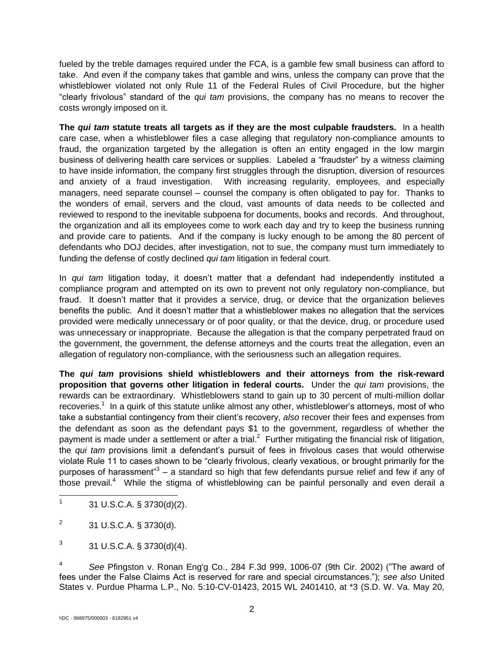fueled by the treble damages required under the FCA, is a gamble few small business can afford to take. And even if the company takes that gamble and wins, unless the company can prove that the whistleblower violated not only Rule 11 of the Federal Rules of Civil Procedure, but the higher "clearly frivolous" standard of the *qui tam* provisions, the company has no means to recover the costs wrongly imposed on it.

**The** *qui tam* **statute treats all targets as if they are the most culpable fraudsters.** In a health care case, when a whistleblower files a case alleging that regulatory non-compliance amounts to fraud, the organization targeted by the allegation is often an entity engaged in the low margin business of delivering health care services or supplies. Labeled a "fraudster" by a witness claiming to have inside information, the company first struggles through the disruption, diversion of resources and anxiety of a fraud investigation. With increasing regularity, employees, and especially managers, need separate counsel – counsel the company is often obligated to pay for. Thanks to the wonders of email, servers and the cloud, vast amounts of data needs to be collected and reviewed to respond to the inevitable subpoena for documents, books and records. And throughout, the organization and all its employees come to work each day and try to keep the business running and provide care to patients. And if the company is lucky enough to be among the 80 percent of defendants who DOJ decides, after investigation, not to sue, the company must turn immediately to funding the defense of costly declined *qui tam* litigation in federal court.

In *qui tam* litigation today, it doesn't matter that a defendant had independently instituted a compliance program and attempted on its own to prevent not only regulatory non-compliance, but fraud. It doesn't matter that it provides a service, drug, or device that the organization believes benefits the public. And it doesn't matter that a whistleblower makes no allegation that the services provided were medically unnecessary or of poor quality, or that the device, drug, or procedure used was unnecessary or inappropriate. Because the allegation is that the company perpetrated fraud on the government, the government, the defense attorneys and the courts treat the allegation, even an allegation of regulatory non-compliance, with the seriousness such an allegation requires.

**The** *qui tam* **provisions shield whistleblowers and their attorneys from the risk-reward proposition that governs other litigation in federal courts.** Under the *qui tam* provisions, the rewards can be extraordinary. Whistleblowers stand to gain up to 30 percent of multi-million dollar recoveries.<sup>1</sup> In a quirk of this statute unlike almost any other, whistleblower's attorneys, most of who take a substantial contingency from their client's recovery, *also* recover their fees and expenses from the defendant as soon as the defendant pays \$1 to the government, regardless of whether the payment is made under a settlement or after a trial.<sup>2</sup> Further mitigating the financial risk of litigation, the *qui tam* provisions limit a defendant's pursuit of fees in frivolous cases that would otherwise violate Rule 11 to cases shown to be "clearly frivolous, clearly vexatious, or brought primarily for the purposes of harassment"<sup>3</sup> – a standard so high that few defendants pursue relief and few if any of those prevail.<sup>4</sup> While the stigma of whistleblowing can be painful personally and even derail a

 $\frac{1}{1}$ 31 U.S.C.A. § 3730(d)(2).

<sup>2</sup> 31 U.S.C.A. § 3730(d).

<sup>3</sup> 31 U.S.C.A. § 3730(d)(4).

<sup>4</sup> *See* Pfingston v. Ronan Eng'g Co., 284 F.3d 999, 1006-07 (9th Cir. 2002) ("The award of fees under the False Claims Act is reserved for rare and special circumstances."); *see also* United States v. Purdue Pharma L.P., No. 5:10-CV-01423, 2015 WL 2401410, at \*3 (S.D. W. Va. May 20,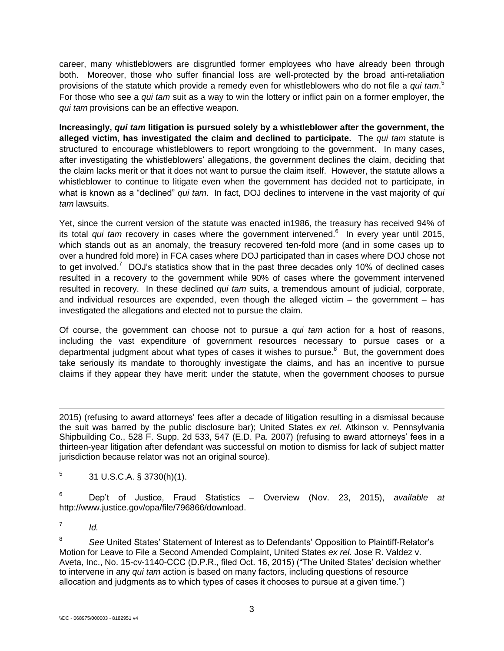career, many whistleblowers are disgruntled former employees who have already been through both. Moreover, those who suffer financial loss are well-protected by the broad anti-retaliation provisions of the statute which provide a remedy even for whistleblowers who do not file a *qui tam*. 5 For those who see a *qui tam* suit as a way to win the lottery or inflict pain on a former employer, the *qui tam* provisions can be an effective weapon.

**Increasingly,** *qui tam* **litigation is pursued solely by a whistleblower after the government, the alleged victim, has investigated the claim and declined to participate.** The *qui tam* statute is structured to encourage whistleblowers to report wrongdoing to the government. In many cases, after investigating the whistleblowers' allegations, the government declines the claim, deciding that the claim lacks merit or that it does not want to pursue the claim itself. However, the statute allows a whistleblower to continue to litigate even when the government has decided not to participate, in what is known as a "declined" *qui tam*. In fact, DOJ declines to intervene in the vast majority of *qui tam* lawsuits.

Yet, since the current version of the statute was enacted in1986, the treasury has received 94% of its total *qui tam* recovery in cases where the government intervened.<sup>6</sup> In every year until 2015, which stands out as an anomaly, the treasury recovered ten-fold more (and in some cases up to over a hundred fold more) in FCA cases where DOJ participated than in cases where DOJ chose not to get involved.<sup>7</sup> DOJ's statistics show that in the past three decades only 10% of declined cases resulted in a recovery to the government while 90% of cases where the government intervened resulted in recovery. In these declined *qui tam* suits, a tremendous amount of judicial, corporate, and individual resources are expended, even though the alleged victim  $-$  the government  $-$  has investigated the allegations and elected not to pursue the claim.

Of course, the government can choose not to pursue a *qui tam* action for a host of reasons, including the vast expenditure of government resources necessary to pursue cases or a departmental judgment about what types of cases it wishes to pursue.<sup>8</sup> But, the government does take seriously its mandate to thoroughly investigate the claims, and has an incentive to pursue claims if they appear they have merit: under the statute, when the government chooses to pursue

 $\overline{a}$ 2015) (refusing to award attorneys' fees after a decade of litigation resulting in a dismissal because the suit was barred by the public disclosure bar); United States *ex rel.* Atkinson v. Pennsylvania Shipbuilding Co., 528 F. Supp. 2d 533, 547 (E.D. Pa. 2007) (refusing to award attorneys' fees in a thirteen-year litigation after defendant was successful on motion to dismiss for lack of subject matter jurisdiction because relator was not an original source).

5 31 U.S.C.A. § 3730(h)(1).

<sup>6</sup> Dep't of Justice, Fraud Statistics – Overview (Nov. 23, 2015), *available at* http://www.justice.gov/opa/file/796866/download.

7 *Id.*

<sup>8</sup> *See* United States' Statement of Interest as to Defendants' Opposition to Plaintiff-Relator's Motion for Leave to File a Second Amended Complaint, United States *ex rel.* Jose R. Valdez v. Aveta, Inc., No. 15-cv-1140-CCC (D.P.R., filed Oct. 16, 2015) ("The United States' decision whether to intervene in any *qui tam* action is based on many factors, including questions of resource allocation and judgments as to which types of cases it chooses to pursue at a given time.")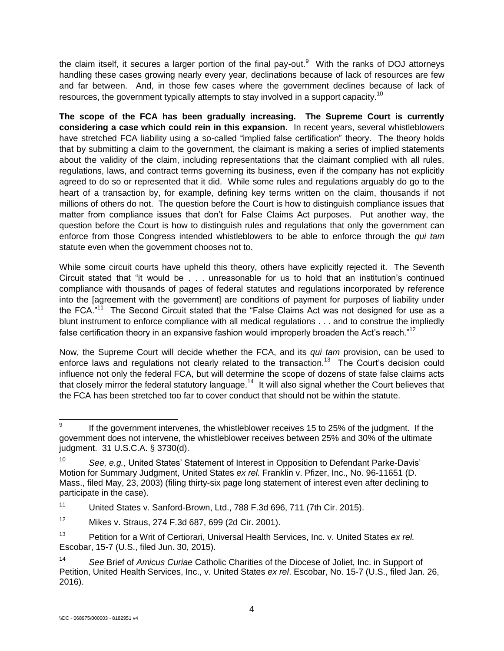the claim itself, it secures a larger portion of the final pay-out. $9$  With the ranks of DOJ attorneys handling these cases growing nearly every year, declinations because of lack of resources are few and far between. And, in those few cases where the government declines because of lack of resources, the government typically attempts to stay involved in a support capacity.<sup>10</sup>

**The scope of the FCA has been gradually increasing. The Supreme Court is currently considering a case which could rein in this expansion.** In recent years, several whistleblowers have stretched FCA liability using a so-called "implied false certification" theory. The theory holds that by submitting a claim to the government, the claimant is making a series of implied statements about the validity of the claim, including representations that the claimant complied with all rules, regulations, laws, and contract terms governing its business, even if the company has not explicitly agreed to do so or represented that it did. While some rules and regulations arguably do go to the heart of a transaction by, for example, defining key terms written on the claim, thousands if not millions of others do not. The question before the Court is how to distinguish compliance issues that matter from compliance issues that don't for False Claims Act purposes. Put another way, the question before the Court is how to distinguish rules and regulations that only the government can enforce from those Congress intended whistleblowers to be able to enforce through the *qui tam* statute even when the government chooses not to.

While some circuit courts have upheld this theory, others have explicitly rejected it. The Seventh Circuit stated that "it would be . . . unreasonable for us to hold that an institution's continued compliance with thousands of pages of federal statutes and regulations incorporated by reference into the [agreement with the government] are conditions of payment for purposes of liability under the FCA."<sup>11</sup> The Second Circuit stated that the "False Claims Act was not designed for use as a blunt instrument to enforce compliance with all medical regulations . . . and to construe the impliedly false certification theory in an expansive fashion would improperly broaden the Act's reach."<sup>12</sup>

Now, the Supreme Court will decide whether the FCA, and its *qui tam* provision, can be used to enforce laws and regulations not clearly related to the transaction.<sup>13</sup> The Court's decision could influence not only the federal FCA, but will determine the scope of dozens of state false claims acts that closely mirror the federal statutory language.<sup>14</sup> It will also signal whether the Court believes that the FCA has been stretched too far to cover conduct that should not be within the statute.

<sup>11</sup> United States v. Sanford-Brown, Ltd., 788 F.3d 696, 711 (7th Cir. 2015).

<sup>–&</sup>lt;br>9 If the government intervenes, the whistleblower receives 15 to 25% of the judgment. If the government does not intervene, the whistleblower receives between 25% and 30% of the ultimate judgment. 31 U.S.C.A. § 3730(d).

<sup>10</sup> *See, e.g.*, United States' Statement of Interest in Opposition to Defendant Parke-Davis' Motion for Summary Judgment, United States *ex rel.* Franklin v. Pfizer, Inc., No. 96-11651 (D. Mass., filed May, 23, 2003) (filing thirty-six page long statement of interest even after declining to participate in the case).

<sup>12</sup> Mikes v. Straus, 274 F.3d 687, 699 (2d Cir. 2001).

<sup>13</sup> Petition for a Writ of Certiorari, Universal Health Services, Inc. v. United States *ex rel.* Escobar, 15-7 (U.S., filed Jun. 30, 2015).

<sup>14</sup> *See* Brief of *Amicus Curiae* Catholic Charities of the Diocese of Joliet, Inc. in Support of Petition, United Health Services, Inc., v. United States *ex rel*. Escobar, No. 15-7 (U.S., filed Jan. 26, 2016).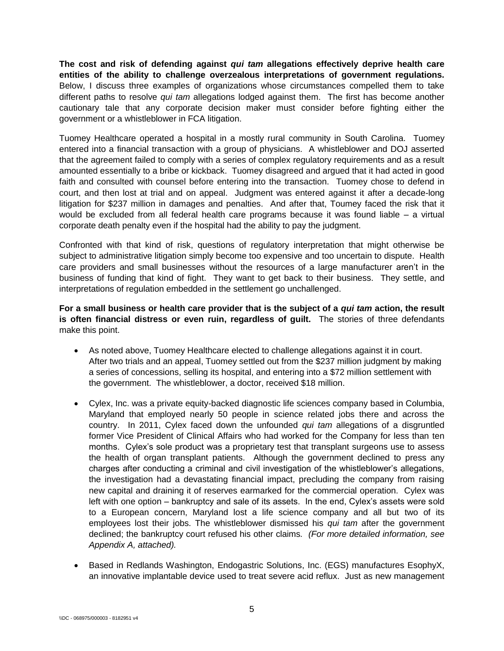**The cost and risk of defending against** *qui tam* **allegations effectively deprive health care entities of the ability to challenge overzealous interpretations of government regulations.** Below, I discuss three examples of organizations whose circumstances compelled them to take different paths to resolve *qui tam* allegations lodged against them. The first has become another cautionary tale that any corporate decision maker must consider before fighting either the government or a whistleblower in FCA litigation.

Tuomey Healthcare operated a hospital in a mostly rural community in South Carolina. Tuomey entered into a financial transaction with a group of physicians. A whistleblower and DOJ asserted that the agreement failed to comply with a series of complex regulatory requirements and as a result amounted essentially to a bribe or kickback. Tuomey disagreed and argued that it had acted in good faith and consulted with counsel before entering into the transaction. Tuomey chose to defend in court, and then lost at trial and on appeal. Judgment was entered against it after a decade-long litigation for \$237 million in damages and penalties. And after that, Toumey faced the risk that it would be excluded from all federal health care programs because it was found liable – a virtual corporate death penalty even if the hospital had the ability to pay the judgment.

Confronted with that kind of risk, questions of regulatory interpretation that might otherwise be subject to administrative litigation simply become too expensive and too uncertain to dispute. Health care providers and small businesses without the resources of a large manufacturer aren't in the business of funding that kind of fight. They want to get back to their business. They settle, and interpretations of regulation embedded in the settlement go unchallenged.

**For a small business or health care provider that is the subject of a** *qui tam* **action, the result is often financial distress or even ruin, regardless of guilt.** The stories of three defendants make this point.

- As noted above, Tuomey Healthcare elected to challenge allegations against it in court. After two trials and an appeal, Tuomey settled out from the \$237 million judgment by making a series of concessions, selling its hospital, and entering into a \$72 million settlement with the government. The whistleblower, a doctor, received \$18 million.
- Cylex, Inc. was a private equity-backed diagnostic life sciences company based in Columbia, Maryland that employed nearly 50 people in science related jobs there and across the country. In 2011, Cylex faced down the unfounded *qui tam* allegations of a disgruntled former Vice President of Clinical Affairs who had worked for the Company for less than ten months. Cylex's sole product was a proprietary test that transplant surgeons use to assess the health of organ transplant patients. Although the government declined to press any charges after conducting a criminal and civil investigation of the whistleblower's allegations, the investigation had a devastating financial impact, precluding the company from raising new capital and draining it of reserves earmarked for the commercial operation. Cylex was left with one option – bankruptcy and sale of its assets. In the end, Cylex's assets were sold to a European concern, Maryland lost a life science company and all but two of its employees lost their jobs. The whistleblower dismissed his *qui tam* after the government declined; the bankruptcy court refused his other claims*. (For more detailed information, see Appendix A, attached).*
- Based in Redlands Washington, Endogastric Solutions, Inc. (EGS) manufactures EsophyX, an innovative implantable device used to treat severe acid reflux. Just as new management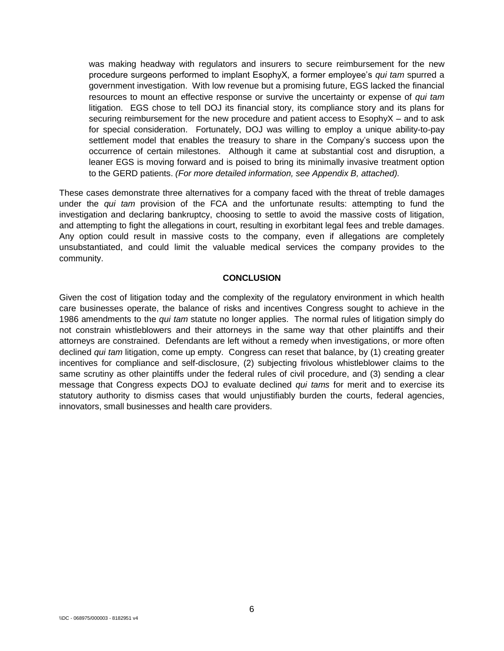was making headway with regulators and insurers to secure reimbursement for the new procedure surgeons performed to implant EsophyX, a former employee's *qui tam* spurred a government investigation. With low revenue but a promising future, EGS lacked the financial resources to mount an effective response or survive the uncertainty or expense of *qui tam* litigation. EGS chose to tell DOJ its financial story, its compliance story and its plans for securing reimbursement for the new procedure and patient access to EsophyX – and to ask for special consideration. Fortunately, DOJ was willing to employ a unique ability-to-pay settlement model that enables the treasury to share in the Company's success upon the occurrence of certain milestones. Although it came at substantial cost and disruption, a leaner EGS is moving forward and is poised to bring its minimally invasive treatment option to the GERD patients. *(For more detailed information, see Appendix B, attached).*

These cases demonstrate three alternatives for a company faced with the threat of treble damages under the *qui tam* provision of the FCA and the unfortunate results: attempting to fund the investigation and declaring bankruptcy, choosing to settle to avoid the massive costs of litigation, and attempting to fight the allegations in court, resulting in exorbitant legal fees and treble damages. Any option could result in massive costs to the company, even if allegations are completely unsubstantiated, and could limit the valuable medical services the company provides to the community.

#### **CONCLUSION**

Given the cost of litigation today and the complexity of the regulatory environment in which health care businesses operate, the balance of risks and incentives Congress sought to achieve in the 1986 amendments to the *qui tam* statute no longer applies. The normal rules of litigation simply do not constrain whistleblowers and their attorneys in the same way that other plaintiffs and their attorneys are constrained. Defendants are left without a remedy when investigations, or more often declined *qui tam* litigation, come up empty. Congress can reset that balance, by (1) creating greater incentives for compliance and self-disclosure, (2) subjecting frivolous whistleblower claims to the same scrutiny as other plaintiffs under the federal rules of civil procedure, and (3) sending a clear message that Congress expects DOJ to evaluate declined *qui tams* for merit and to exercise its statutory authority to dismiss cases that would unjustifiably burden the courts, federal agencies, innovators, small businesses and health care providers.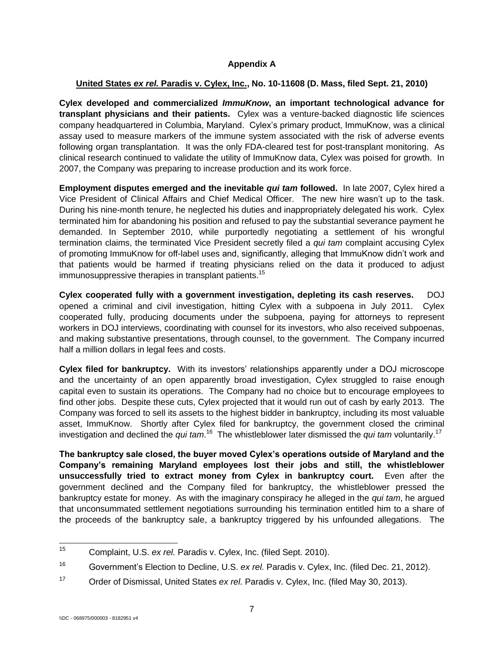# **Appendix A**

## **United States** *ex rel.* **Paradis v. Cylex, Inc., No. 10-11608 (D. Mass, filed Sept. 21, 2010)**

**Cylex developed and commercialized** *ImmuKnow***, an important technological advance for transplant physicians and their patients.** Cylex was a venture-backed diagnostic life sciences company headquartered in Columbia, Maryland. Cylex's primary product, ImmuKnow, was a clinical assay used to measure markers of the immune system associated with the risk of adverse events following organ transplantation. It was the only FDA-cleared test for post-transplant monitoring. As clinical research continued to validate the utility of ImmuKnow data, Cylex was poised for growth. In 2007, the Company was preparing to increase production and its work force.

**Employment disputes emerged and the inevitable** *qui tam* **followed.** In late 2007, Cylex hired a Vice President of Clinical Affairs and Chief Medical Officer. The new hire wasn't up to the task. During his nine-month tenure, he neglected his duties and inappropriately delegated his work. Cylex terminated him for abandoning his position and refused to pay the substantial severance payment he demanded. In September 2010, while purportedly negotiating a settlement of his wrongful termination claims, the terminated Vice President secretly filed a *qui tam* complaint accusing Cylex of promoting ImmuKnow for off-label uses and, significantly, alleging that ImmuKnow didn't work and that patients would be harmed if treating physicians relied on the data it produced to adjust immunosuppressive therapies in transplant patients. 15

**Cylex cooperated fully with a government investigation, depleting its cash reserves.** DOJ opened a criminal and civil investigation, hitting Cylex with a subpoena in July 2011. Cylex cooperated fully, producing documents under the subpoena, paying for attorneys to represent workers in DOJ interviews, coordinating with counsel for its investors, who also received subpoenas, and making substantive presentations, through counsel, to the government. The Company incurred half a million dollars in legal fees and costs.

**Cylex filed for bankruptcy.** With its investors' relationships apparently under a DOJ microscope and the uncertainty of an open apparently broad investigation, Cylex struggled to raise enough capital even to sustain its operations. The Company had no choice but to encourage employees to find other jobs. Despite these cuts, Cylex projected that it would run out of cash by early 2013. The Company was forced to sell its assets to the highest bidder in bankruptcy, including its most valuable asset, ImmuKnow. Shortly after Cylex filed for bankruptcy, the government closed the criminal investigation and declined the *qui tam*.<sup>16</sup> The whistleblower later dismissed the *qui tam* voluntarily.<sup>17</sup>

**The bankruptcy sale closed, the buyer moved Cylex's operations outside of Maryland and the Company's remaining Maryland employees lost their jobs and still, the whistleblower unsuccessfully tried to extract money from Cylex in bankruptcy court.** Even after the government declined and the Company filed for bankruptcy, the whistleblower pressed the bankruptcy estate for money. As with the imaginary conspiracy he alleged in the *qui tam*, he argued that unconsummated settlement negotiations surrounding his termination entitled him to a share of the proceeds of the bankruptcy sale, a bankruptcy triggered by his unfounded allegations. The

 $15$ <sup>15</sup> Complaint, U.S. *ex rel.* Paradis v. Cylex, Inc. (filed Sept. 2010).

<sup>16</sup> Government's Election to Decline, U.S. *ex rel.* Paradis v. Cylex, Inc. (filed Dec. 21, 2012).

<sup>17</sup> Order of Dismissal, United States *ex rel.* Paradis v. Cylex, Inc. (filed May 30, 2013).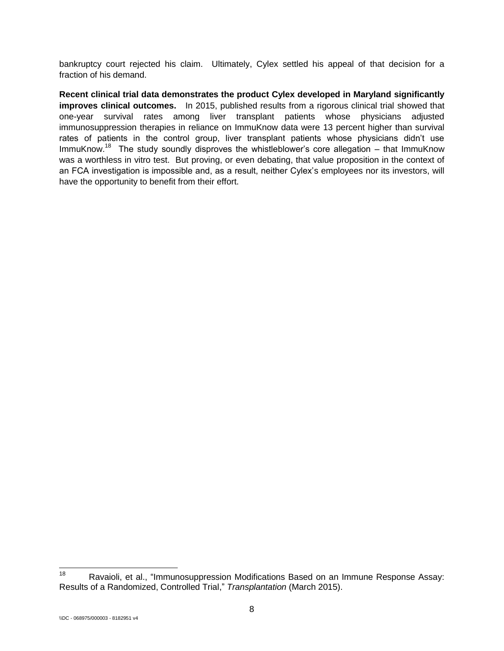bankruptcy court rejected his claim. Ultimately, Cylex settled his appeal of that decision for a fraction of his demand.

**Recent clinical trial data demonstrates the product Cylex developed in Maryland significantly improves clinical outcomes.** In 2015, published results from a rigorous clinical trial showed that one-year survival rates among liver transplant patients whose physicians adjusted immunosuppression therapies in reliance on ImmuKnow data were 13 percent higher than survival rates of patients in the control group, liver transplant patients whose physicians didn't use ImmuKnow.<sup>18</sup> The study soundly disproves the whistleblower's core allegation – that ImmuKnow was a worthless in vitro test. But proving, or even debating, that value proposition in the context of an FCA investigation is impossible and, as a result, neither Cylex's employees nor its investors, will have the opportunity to benefit from their effort.

<sup>18</sup> Ravaioli, et al., "Immunosuppression Modifications Based on an Immune Response Assay: Results of a Randomized, Controlled Trial," *Transplantation* (March 2015).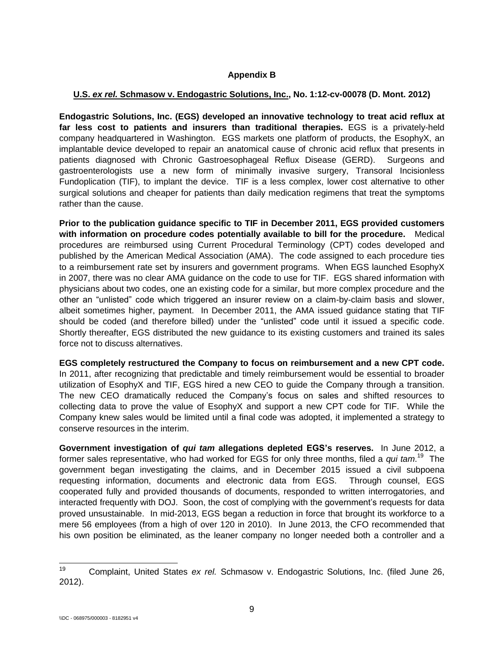# **Appendix B**

### **U.S.** *ex rel.* **Schmasow v. Endogastric Solutions, Inc., No. 1:12-cv-00078 (D. Mont. 2012)**

**Endogastric Solutions, Inc. (EGS) developed an innovative technology to treat acid reflux at far less cost to patients and insurers than traditional therapies.** EGS is a privately-held company headquartered in Washington. EGS markets one platform of products, the EsophyX, an implantable device developed to repair an anatomical cause of chronic acid reflux that presents in patients diagnosed with Chronic Gastroesophageal Reflux Disease (GERD). Surgeons and gastroenterologists use a new form of minimally invasive surgery, Transoral Incisionless Fundoplication (TIF), to implant the device. TIF is a less complex, lower cost alternative to other surgical solutions and cheaper for patients than daily medication regimens that treat the symptoms rather than the cause.

**Prior to the publication guidance specific to TIF in December 2011, EGS provided customers with information on procedure codes potentially available to bill for the procedure.** Medical procedures are reimbursed using Current Procedural Terminology (CPT) codes developed and published by the American Medical Association (AMA). The code assigned to each procedure ties to a reimbursement rate set by insurers and government programs. When EGS launched EsophyX in 2007, there was no clear AMA guidance on the code to use for TIF. EGS shared information with physicians about two codes, one an existing code for a similar, but more complex procedure and the other an "unlisted" code which triggered an insurer review on a claim-by-claim basis and slower, albeit sometimes higher, payment. In December 2011, the AMA issued guidance stating that TIF should be coded (and therefore billed) under the "unlisted" code until it issued a specific code. Shortly thereafter, EGS distributed the new guidance to its existing customers and trained its sales force not to discuss alternatives.

**EGS completely restructured the Company to focus on reimbursement and a new CPT code.**  In 2011, after recognizing that predictable and timely reimbursement would be essential to broader utilization of EsophyX and TIF, EGS hired a new CEO to guide the Company through a transition. The new CEO dramatically reduced the Company's focus on sales and shifted resources to collecting data to prove the value of EsophyX and support a new CPT code for TIF. While the Company knew sales would be limited until a final code was adopted, it implemented a strategy to conserve resources in the interim.

**Government investigation of** *qui tam* **allegations depleted EGS's reserves.** In June 2012, a former sales representative, who had worked for EGS for only three months, filed a *qui tam*.<sup>19</sup> The government began investigating the claims, and in December 2015 issued a civil subpoena requesting information, documents and electronic data from EGS. Through counsel, EGS cooperated fully and provided thousands of documents, responded to written interrogatories, and interacted frequently with DOJ. Soon, the cost of complying with the government's requests for data proved unsustainable. In mid-2013, EGS began a reduction in force that brought its workforce to a mere 56 employees (from a high of over 120 in 2010). In June 2013, the CFO recommended that his own position be eliminated, as the leaner company no longer needed both a controller and a

 $19<sup>°</sup>$ <sup>19</sup> Complaint, United States *ex rel.* Schmasow v. Endogastric Solutions, Inc. (filed June 26, 2012).